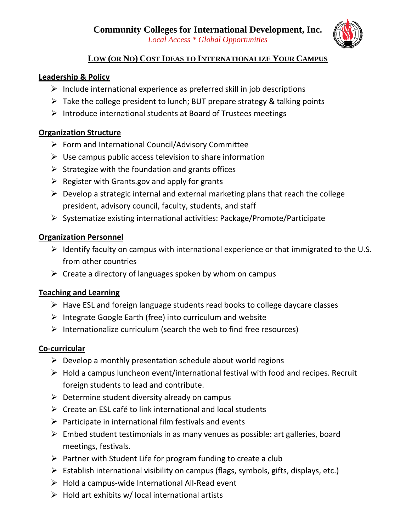

### **LOW (OR NO) COST IDEAS TO INTERNATIONALIZE YOUR CAMPUS**

#### **Leadership & Policy**

- $\triangleright$  Include international experience as preferred skill in job descriptions
- $\triangleright$  Take the college president to lunch; BUT prepare strategy & talking points
- ¾ Introduce international students at Board of Trustees meetings

#### **Organization Structure**

- $\triangleright$  Form and International Council/Advisory Committee
- $\triangleright$  Use campus public access television to share information
- $\triangleright$  Strategize with the foundation and grants offices
- $\triangleright$  Register with Grants.gov and apply for grants
- $\triangleright$  Develop a strategic internal and external marketing plans that reach the college president, advisory council, faculty, students, and staff
- ¾ Systematize existing international activities: Package/Promote/Participate

### **Organization Personnel**

- $\triangleright$  Identify faculty on campus with international experience or that immigrated to the U.S. from other countries
- $\triangleright$  Create a directory of languages spoken by whom on campus

# **Teaching and Learning**

- $\triangleright$  Have ESL and foreign language students read books to college daycare classes
- $\triangleright$  Integrate Google Earth (free) into curriculum and website
- $\triangleright$  Internationalize curriculum (search the web to find free resources)

#### **Co‐curricular**

- $\triangleright$  Develop a monthly presentation schedule about world regions
- $\triangleright$  Hold a campus luncheon event/international festival with food and recipes. Recruit foreign students to lead and contribute.
- $\triangleright$  Determine student diversity already on campus
- $\triangleright$  Create an ESL café to link international and local students
- $\triangleright$  Participate in international film festivals and events
- $\triangleright$  Embed student testimonials in as many venues as possible: art galleries, board meetings, festivals.
- $\triangleright$  Partner with Student Life for program funding to create a club
- $\triangleright$  Establish international visibility on campus (flags, symbols, gifts, displays, etc.)
- ¾ Hold a campus‐wide International All‐Read event
- $\triangleright$  Hold art exhibits w/ local international artists